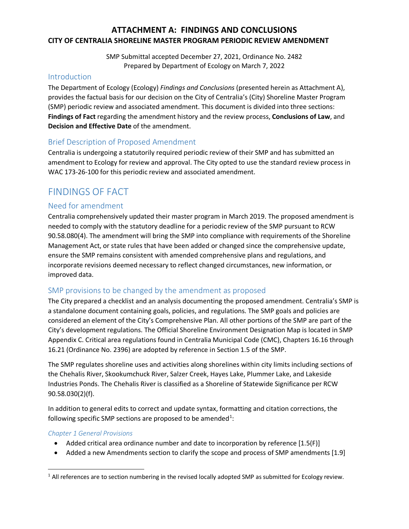## **ATTACHMENT A: FINDINGS AND CONCLUSIONS CITY OF CENTRALIA SHORELINE MASTER PROGRAM PERIODIC REVIEW AMENDMENT**

SMP Submittal accepted December 27, 2021, Ordinance No. 2482 Prepared by Department of Ecology on March 7, 2022

## Introduction

The Department of Ecology (Ecology) *Findings and Conclusions* (presented herein as Attachment A), provides the factual basis for our decision on the City of Centralia's (City) Shoreline Master Program (SMP) periodic review and associated amendment. This document is divided into three sections: **Findings of Fact** regarding the amendment history and the review process, **Conclusions of Law**, and **Decision and Effective Date** of the amendment.

## Brief Description of Proposed Amendment

Centralia is undergoing a statutorily required periodic review of their SMP and has submitted an amendment to Ecology for review and approval. The City opted to use the standard review process in WAC 173-26-100 for this periodic review and associated amendment.

# FINDINGS OF FACT

## Need for amendment

Centralia comprehensively updated their master program in March 2019. The proposed amendment is needed to comply with the statutory deadline for a periodic review of the SMP pursuant to RCW 90.58.080(4). The amendment will bring the SMP into compliance with requirements of the Shoreline Management Act, or state rules that have been added or changed since the comprehensive update, ensure the SMP remains consistent with amended comprehensive plans and regulations, and incorporate revisions deemed necessary to reflect changed circumstances, new information, or improved data.

## SMP provisions to be changed by the amendment as proposed

The City prepared a checklist and an analysis documenting the proposed amendment. Centralia's SMP is a standalone document containing goals, policies, and regulations. The SMP goals and policies are considered an element of the City's Comprehensive Plan. All other portions of the SMP are part of the City's development regulations. The Official Shoreline Environment Designation Map is located in SMP Appendix C. Critical area regulations found in Centralia Municipal Code (CMC), Chapters 16.16 through 16.21 (Ordinance No. 2396) are adopted by reference in Section 1.5 of the SMP.

The SMP regulates shoreline uses and activities along shorelines within city limits including sections of the Chehalis River, Skookumchuck River, Salzer Creek, Hayes Lake, Plummer Lake, and Lakeside Industries Ponds. The Chehalis River is classified as a Shoreline of Statewide Significance per RCW 90.58.030(2)(f).

In addition to general edits to correct and update syntax, formatting and citation corrections, the following specific SMP sections are proposed to be amended<sup>[1](#page-0-0)</sup>:

#### *Chapter 1 General Provisions*

- Added critical area ordinance number and date to incorporation by reference [1.5(F)]
- Added a new Amendments section to clarify the scope and process of SMP amendments [1.9]

<span id="page-0-0"></span> $<sup>1</sup>$  All references are to section numbering in the revised locally adopted SMP as submitted for Ecology review.</sup>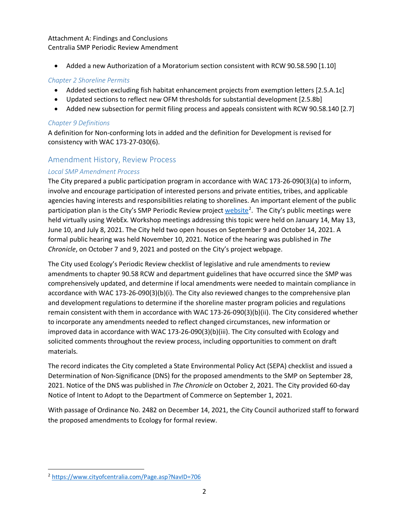#### Attachment A: Findings and Conclusions Centralia SMP Periodic Review Amendment

• Added a new Authorization of a Moratorium section consistent with RCW 90.58.590 [1.10]

## *Chapter 2 Shoreline Permits*

- Added section excluding fish habitat enhancement projects from exemption letters [2.5.A.1c]
- Updated sections to reflect new OFM thresholds for substantial development [2.5.8b]
- Added new subsection for permit filing process and appeals consistent with RCW 90.58.140 [2.7]

### *Chapter 9 Definitions*

A definition for Non-conforming lots in added and the definition for Development is revised for consistency with WAC 173-27-030(6).

## Amendment History, Review Process

### *Local SMP Amendment Process*

The City prepared a public participation program in accordance with WAC 173-26-090(3)(a) to inform, involve and encourage participation of interested persons and private entities, tribes, and applicable agencies having interests and responsibilities relating to shorelines. An important element of the public participation plan is the City's SMP Periodic Review project [website](https://www.cityofcentralia.com/Page.asp?NavID=706)<sup>[2](#page-1-0)</sup>. The City's public meetings were held virtually using WebEx. Workshop meetings addressing this topic were held on January 14, May 13, June 10, and July 8, 2021. The City held two open houses on September 9 and October 14, 2021. A formal public hearing was held November 10, 2021. Notice of the hearing was published in *The Chronicle*, on October 7 and 9, 2021 and posted on the City's project webpage.

The City used Ecology's Periodic Review checklist of legislative and rule amendments to review amendments to chapter 90.58 RCW and department guidelines that have occurred since the SMP was comprehensively updated, and determine if local amendments were needed to maintain compliance in accordance with WAC 173-26-090(3)(b)(i). The City also reviewed changes to the comprehensive plan and development regulations to determine if the shoreline master program policies and regulations remain consistent with them in accordance with WAC 173-26-090(3)(b)(ii). The City considered whether to incorporate any amendments needed to reflect changed circumstances, new information or improved data in accordance with WAC 173-26-090(3)(b)(iii). The City consulted with Ecology and solicited comments throughout the review process, including opportunities to comment on draft materials.

The record indicates the City completed a State Environmental Policy Act (SEPA) checklist and issued a Determination of Non-Significance (DNS) for the proposed amendments to the SMP on September 28, 2021. Notice of the DNS was published in *The Chronicle* on October 2, 2021. The City provided 60-day Notice of Intent to Adopt to the Department of Commerce on September 1, 2021.

With passage of Ordinance No. 2482 on December 14, 2021, the City Council authorized staff to forward the proposed amendments to Ecology for formal review.

<span id="page-1-0"></span> <sup>2</sup> <https://www.cityofcentralia.com/Page.asp?NavID=706>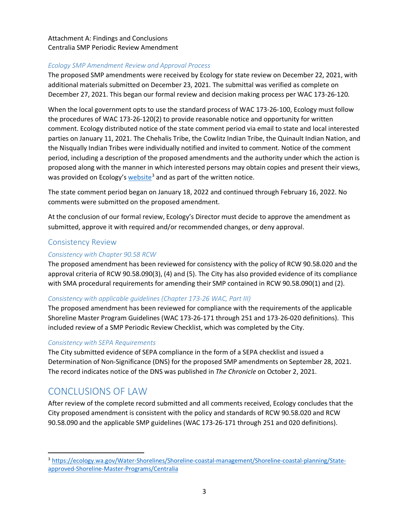## Attachment A: Findings and Conclusions Centralia SMP Periodic Review Amendment

#### *Ecology SMP Amendment Review and Approval Process*

The proposed SMP amendments were received by Ecology for state review on December 22, 2021, with additional materials submitted on December 23, 2021. The submittal was verified as complete on December 27, 2021. This began our formal review and decision making process per WAC 173-26-120*.*

When the local government opts to use the standard process of WAC 173-26-100, Ecology must follow the procedures of WAC 173-26-120(2) to provide reasonable notice and opportunity for written comment. Ecology distributed notice of the state comment period via email to state and local interested parties on January 11, 2021. The Chehalis Tribe, the Cowlitz Indian Tribe, the Quinault Indian Nation, and the Nisqually Indian Tribes were individually notified and invited to comment. Notice of the comment period, including a description of the proposed amendments and the authority under which the action is proposed along with the manner in which interested persons may obtain copies and present their views, was provided on Ecology's [website](https://ecology.wa.gov/Water-Shorelines/Shoreline-coastal-management/Shoreline-coastal-planning/State-approved-Shoreline-Master-Programs/Centralia)<sup>[3](#page-2-0)</sup> and as part of the written notice.

The state comment period began on January 18, 2022 and continued through February 16, 2022. No comments were submitted on the proposed amendment.

At the conclusion of our formal review, Ecology's Director must decide to approve the amendment as submitted, approve it with required and/or recommended changes, or deny approval.

## Consistency Review

### *Consistency with Chapter 90.58 RCW*

The proposed amendment has been reviewed for consistency with the policy of RCW 90.58.020 and the approval criteria of RCW 90.58.090(3), (4) and (5). The City has also provided evidence of its compliance with SMA procedural requirements for amending their SMP contained in RCW 90.58.090(1) and (2).

## *Consistency with applicable guidelines (Chapter 173-26 WAC, Part III)*

The proposed amendment has been reviewed for compliance with the requirements of the applicable Shoreline Master Program Guidelines (WAC 173-26-171 through 251 and 173-26-020 definitions). This included review of a SMP Periodic Review Checklist, which was completed by the City.

#### *Consistency with SEPA Requirements*

The City submitted evidence of SEPA compliance in the form of a SEPA checklist and issued a Determination of Non-Significance (DNS) for the proposed SMP amendments on September 28, 2021. The record indicates notice of the DNS was published in *The Chronicle* on October 2, 2021.

## CONCLUSIONS OF LAW

After review of the complete record submitted and all comments received, Ecology concludes that the City proposed amendment is consistent with the policy and standards of RCW 90.58.020 and RCW 90.58.090 and the applicable SMP guidelines (WAC 173-26-171 through 251 and 020 definitions).

<span id="page-2-0"></span> <sup>3</sup> [https://ecology.wa.gov/Water-Shorelines/Shoreline-coastal-management/Shoreline-coastal-planning/State](https://ecology.wa.gov/Water-Shorelines/Shoreline-coastal-management/Shoreline-coastal-planning/State-approved-Shoreline-Master-Programs/Centralia)[approved-Shoreline-Master-Programs/Centralia](https://ecology.wa.gov/Water-Shorelines/Shoreline-coastal-management/Shoreline-coastal-planning/State-approved-Shoreline-Master-Programs/Centralia)